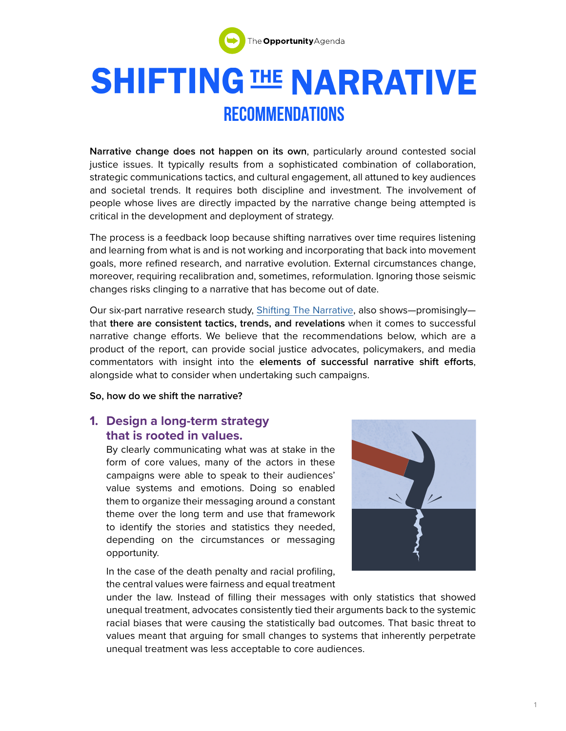

# **SHIFTING THE NARRATIVE RECOMMENDATIONS**

**Narrative change does not happen on its own**, particularly around contested social justice issues. It typically results from a sophisticated combination of collaboration, strategic communications tactics, and cultural engagement, all attuned to key audiences and societal trends. It requires both discipline and investment. The involvement of people whose lives are directly impacted by the narrative change being attempted is critical in the development and deployment of strategy.

The process is a feedback loop because shifting narratives over time requires listening and learning from what is and is not working and incorporating that back into movement goals, more refined research, and narrative evolution. External circumstances change, moreover, requiring recalibration and, sometimes, reformulation. Ignoring those seismic changes risks clinging to a narrative that has become out of date.

Our six-part narrative research study, [Shifting The Narrative](https://www.opportunityagenda.org/explore/resources-publications/shifting-narrative), also shows—promisingly that **there are consistent tactics, trends, and revelations** when it comes to successful narrative change efforts. We believe that the recommendations below, which are a product of the report, can provide social justice advocates, policymakers, and media commentators with insight into the **elements of successful narrative shift efforts**, alongside what to consider when undertaking such campaigns.

**So, how do we shift the narrative?** 

## **1. Design a long-term strategy that is rooted in values.**

By clearly communicating what was at stake in the form of core values, many of the actors in these campaigns were able to speak to their audiences' value systems and emotions. Doing so enabled them to organize their messaging around a constant theme over the long term and use that framework to identify the stories and statistics they needed, depending on the circumstances or messaging opportunity.

In the case of the death penalty and racial profiling, the central values were fairness and equal treatment



under the law. Instead of filling their messages with only statistics that showed unequal treatment, advocates consistently tied their arguments back to the systemic racial biases that were causing the statistically bad outcomes. That basic threat to values meant that arguing for small changes to systems that inherently perpetrate unequal treatment was less acceptable to core audiences.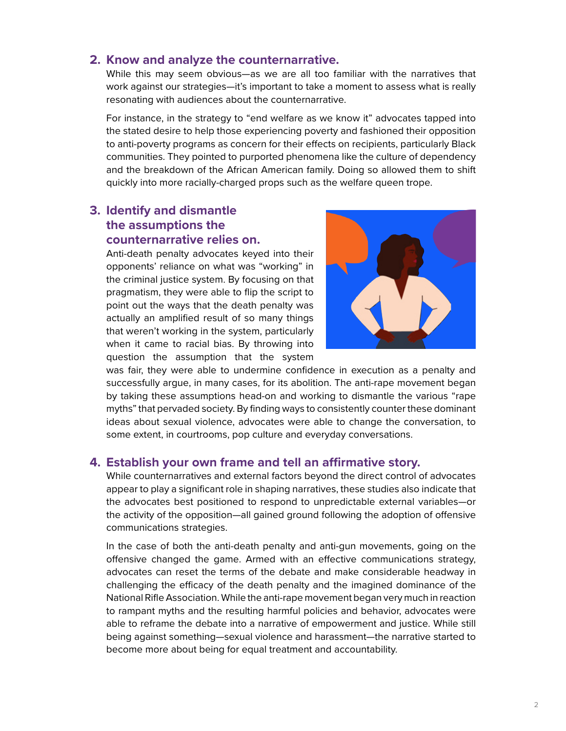#### **2. Know and analyze the counternarrative.**

While this may seem obvious—as we are all too familiar with the narratives that work against our strategies—it's important to take a moment to assess what is really resonating with audiences about the counternarrative.

For instance, in the strategy to "end welfare as we know it" advocates tapped into the stated desire to help those experiencing poverty and fashioned their opposition to anti-poverty programs as concern for their effects on recipients, particularly Black communities. They pointed to purported phenomena like the culture of dependency and the breakdown of the African American family. Doing so allowed them to shift quickly into more racially-charged props such as the welfare queen trope.

## **3. Identify and dismantle the assumptions the counternarrative relies on.**

Anti-death penalty advocates keyed into their opponents' reliance on what was "working" in the criminal justice system. By focusing on that pragmatism, they were able to flip the script to point out the ways that the death penalty was actually an amplified result of so many things that weren't working in the system, particularly when it came to racial bias. By throwing into question the assumption that the system



to assess what is really

was fair, they were able to undermine confidence in execution as a penalty and may languary and the controller many commence in execution as a penalty and successfully argue, in many cases, for its abolition. The anti-rape movement began by taking these assumptions head-on and working to dismantle the various "rape by taking these assumptions head-on and working to dismantle the various "rape that included society. By finding ways to consistently counter these dominant in the setting of the setting of ideas about sexual violence, advocates were able to change the conversation, to some extent, in courtrooms, pop culture and everyday conversations.

# **4. Establish your own frame and tell an affirmative story.**

**EXECUTE:** THE CONTROL CONTROL CONTROLS INTERFERING CONTROL CONTROL OF Advocates appear to play a significant role in shaping narratives, these studies also indicate that the advocates best positioned to respond to unpredictable external variables—or the activity of the opposition—all gained ground following the adoption of offensive communications strategies.

In the case of both the anti-death penalty and anti-gun movements, going on the offensive changed the game. Armed with an effective communications strategy, advocates can reset the terms of the debate and make considerable headway in challenging the efficacy of the death penalty and the imagined dominance of the National Rifle Association. While the anti-rape movement began very much in reaction to rampant myths and the resulting harmful policies and behavior, advocates were able to reframe the debate into a narrative of empowerment and justice. While still being against something—sexual violence and harassment—the narrative started to become more about being for equal treatment and accountability.